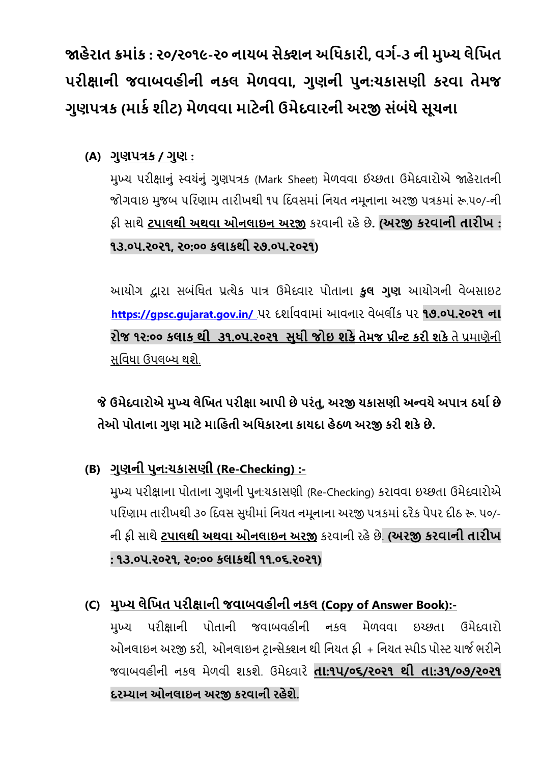**�હેરાત ક્રમાંક : ૨૦/૨૦૧૯-૨૦ નાયબ સેક્શન અિધકારી, વગ�-૩ ની મુખ્ય લેિખત પરી�ાની જવાબવહીની નકલ મેળવવા, ગુણની પુન:ચકાસણી કરવા તેમજ ગુણપત્રક (માક� શીટ) મેળવવા માટેની ઉમેદવારની અર� સંબંધે સૂચના**

**(A) ગુણપત્રક / ગુણ :**

મુખ્ય પરી�ાનું સ્વયંનું ગુણપત્રક (Mark Sheet) મેળવવા ઈચ્છતા ઉમેદવારોએ �હેરાતની જોગવાઇ મુજબ પિરણામ તારીખથી ૧૫ િદવસમાં િનયત નમૂનાના અર� પત્રકમાં �.૫૦/-ની ફી સાથે **ટપાલથી અથવા ઓનલાઇન અર�** કરવાની રહેછે**. (અર� કરવાની તારીખ : ૧૩.૦૫.૨૦૨૧, ૨૦:૦૦ કલાકથી ૨૭.૦૫.૨૦૨૧)**

આયોગ દ્વારા સબંધિત પ્રત્યેક પાત્ર ઉમેદવાર પોતાના **કુલ ગુણ** આયોગની વેબસાઇટ <sup>31</sup>**https://[gpsc.gujarat.gov.in/](https://gpsc.gujarat.gov.in/)** <sup>31</sup>પર દશા�વવામાં આવનાર વેબલીક પર ં **૧૭.૦૫.૨૦૨૧ ના રોજ ૧૨:૦૦ કલાક થી ૩૧.૦૫.૨૦૨૧ સુધી જોઇ શકેતેમજ પ્રીન્ટ કરી શકે**તે પ્રમાણેની સુિવધા ઉપલબ્ધ થશે.

### **જ ઉમેદવારોએ મુખ્ય લેિખત પરી�ા આપી છે પરંતુ ે , અર� ચકાસણી અ ન્વયે અપાત્ર ઠયા� છે તેઓ પોતાના ગુણ માટે માિહતી અિધકારના કાયદા હેઠળ અર� કરી શકે છે.**

**(B) ગુણની પુન:ચકાસણી (Re-Checking) :-**

મુખ્ય પરી�ાના પોતાના ગુણની પુન:ચકાસણી (Re-Checking) કરાવવા ઇચ્છતા ઉમેદવારોએ પિરણામ તારીખથી ૩૦ િદવસ સુધીમાં િનયત નમૂનાના અર� પત્રકમાં દરેક પેપર દીઠ �. ૫૦/- ની ફી સાથે **ટપાલથી અથવા ઓનલાઇન અર�** કરવાની રહેછે. **(અર� કરવાની તારીખ : ૧૩.૦૫.૨૦૨૧, ૨૦:૦૦ કલાકથી ૧૧.૦૬.૨૦૨૧)**

**(C) મુખ્ય લેિખત પરી�ાની જવાબવહીની નકલ (Copy of Answer Book):-** મુખ્ય પરી�ાની પોતાની જવાબવહીની નકલ મેળવવા ઇચ્છતા ઉમેદવારો ઓનલાઇન અર� કરી, ઓનલાઇન ટ�ાન્સેક્શન થી િનયત ફી + િનયત સ્પીડ પોસ્ટ ચાજ� ભરીને જવાબવહીની નકલ મેળવી શકશે. ઉમેદવારે **તા:૧૫/૦૬/૨૦૨૧ થી તા:૩૧/૦૭/૨૦૨૧ દરમ્યાન ઓનલાઇન અર� કરવાની રહેશે.**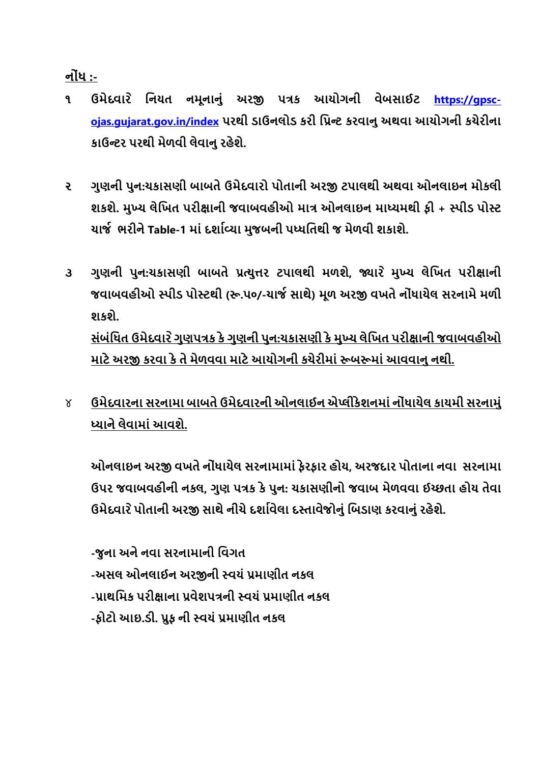**નોંધ :-**

- ૧ ઉમેદવારે નિયત નમૂનાનું અરજી પત્રક આયોગની વેબસાઈટ <u>https://gpsc-</u> **[ojas.gujarat.gov.in/index](https://gpsc-ojas.gujarat.gov.in/index) પરથી ડાઉનલોડ કરી િપ્રન્ટ કરવાનુ અથવા આયોગની કચેરીના કાઉન્ટર પરથી મેળવી લેવાનુ રહેશે.**
- **૨ ગુણની પુન:ચકાસણી બાબતે ઉમેદવારો પોતાની અર� ટપાલથી અથવા ઓનલાઇન મોકલી શકશે. મુખ્ય લેિખત પરી�ાની જવાબવહીઓ માત્ર ઓનલાઇન માધ્યમથી ફી + સ્પીડ પોસ્ટ ચાજ� ભરીને Table-1 માં દશા�વ્યા મુજબની પધ્ધિતથી જ મેળવી શકાશે.**
- ૩ ગુણની પુન:ચકાસણી બાબતે પ્રત્યુત્તર ટપાલથી મળશે, જ્યારે મુખ્ય લેખિત પરીક્ષાની **જવાબવહીઓ સ્પીડ પોસ્ટથી (�.૫૦/-ચાજ� સાથે) મૂળ અર� વખતે નોંધાયેલ સરનામેમળી શકશે. સંબંિધત ઉમેદવાર ેગુણપત્રક કે ગુણની પુન:ચકાસણી કે મુખ્ય લેિખત પરી�ાની જવાબવહીઓ**  <u>માટે અરજી કરવા કે તે મેળવવા માટે આયોગની કચેરીમાં રૂબરુમાં આવવાનુ નથી.</u>
- ૪ **ઉમેદવારના સરનામા બાબતે ઉમેદવારની ઓનલાઈન એપ્લીકેશનમાં નોંધાયેલ કાયમી સરનામું ધ્યાને લેવામાં આવશે.**

**ઓનલાઇન અર� વખતે નોંધાયેલ સરનામામાં ફેરફાર હોય, અરજદાર પોતાના નવા સરનામા ઉપર જવાબવહીની નકલ, ગુણ પત્રક કે પુન: ચકાસણીનો જવાબ મેળવવા ઈચ્છતા હોય તેવા ઉમેદવાર પોતાની અર� સાથે નીચે દશા�વેલા દસ્તાવેજોનું િબડા ે ણ કરવાનું રહેશે.**

**-જુના અને નવા સરનામાની િવગત -અસલ ઓનલાઈન અર�ની સ્વયં પ્રમાણીત નકલ -પ્રાથિમક પરી�ાના પ્રવેશપત્રની સ્વયં પ્રમાણીત નકલ -ફોટો આઇ.ડી. પ્રુફ ની સ્વયં પ્રમાણીત નકલ**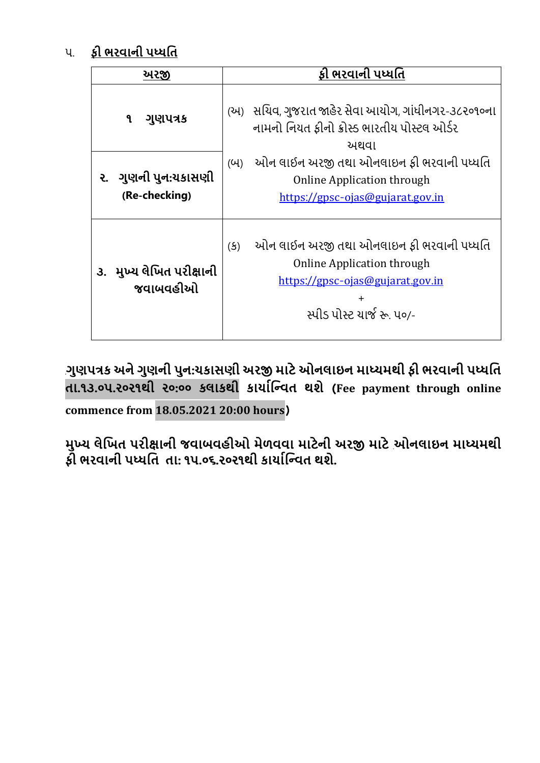### ૫. **ફી ભરવાની પધ્ધિત**

| <u> અરજી</u> |                                      | ફી ભરવાની પધ્ધતિ                                                                                                                                                |  |  |
|--------------|--------------------------------------|-----------------------------------------------------------------------------------------------------------------------------------------------------------------|--|--|
|              | ગુણપત્રક<br>۹                        | (અ) સચિવ, ગુજરાત જાહેર સેવા આયોગ, ગાંધીનગર-૩૮૨૦૧૦ના<br>નામનો નિયત કીનો ક્રોસ્ડ ભારતીય પોસ્ટલ ઓર્ડર<br>અથવા                                                      |  |  |
|              | ૨. ગુણની પુન:યકાસણી<br>(Re-checking) | ઓન લાઈન અરજી તથા ઓનલાઇન ફી ભરવાની પધ્ધતિ<br>(U)<br><b>Online Application through</b><br>https://gpsc-ojas@gujarat.gov.in                                        |  |  |
|              | ૩. મુખ્ય લેખિત પરીક્ષાની<br>જવાબવહીઓ | ઓન લાઈન અરજી તથા ઓનલાઇન ફી ભરવાની પધ્ધતિ<br>(5)<br><b>Online Application through</b><br>https://gpsc-ojas@gujarat.gov.in<br>$\pm$<br>સ્પીડ પોસ્ટ યાર્જ રુ. ૫૦/- |  |  |

<sup>31</sup>**ગુણપત્રક અને ગુણની પુન:ચકાસણી અર� માટે ઓનલાઇન માધ્યમથી ફી ભરવાની પધ્ધિત તા.૧૩.૦૫.૨૦૨૧થી ૨૦:૦૦ કલાકથી કાયા�િન્વત થશે** (**Fee payment through online commence from 18.05.2021 20:00 hours**)

**મુખ્ય લેિખત પરી�ાની જવાબવહીઓ મેળવવા માટેની અર� માટે** 31**ઓનલાઇન માધ્યમથી ફી ભરવાની પધ્ધિત તા: ૧૫.૦૬.૨૦૨૧થી કાયા�િન્વત થશે.**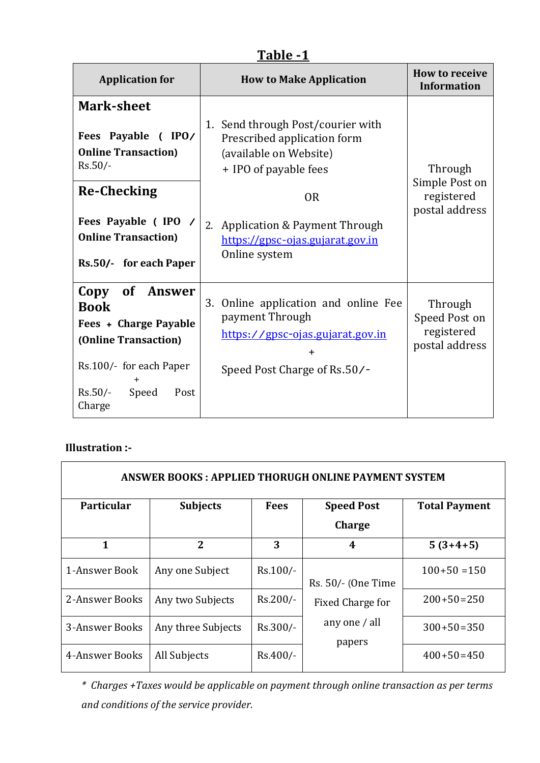|--|

| <b>Application for</b>                                                                                                                                                                  | <b>How to Make Application</b>                                                                                                                                                                                               | <b>How to receive</b><br><b>Information</b>               |  |
|-----------------------------------------------------------------------------------------------------------------------------------------------------------------------------------------|------------------------------------------------------------------------------------------------------------------------------------------------------------------------------------------------------------------------------|-----------------------------------------------------------|--|
| <b>Mark-sheet</b><br>Fees Payable (IPO/<br><b>Online Transaction)</b><br>$Rs.50/-$<br><b>Re-Checking</b><br>Fees Payable (IPO /<br><b>Online Transaction)</b><br>Rs.50/- for each Paper | 1. Send through Post/courier with<br>Prescribed application form<br>(available on Website)<br>+ IPO of payable fees<br><b>OR</b><br>Application & Payment Through<br>2.<br>https://gpsc-ojas.gujarat.gov.in<br>Online system | Through<br>Simple Post on<br>registered<br>postal address |  |
| Copy<br>of Answer<br><b>Book</b><br><b>Fees + Charge Payable</b><br>(Online Transaction)<br>Rs.100/- for each Paper<br>$Rs.50/-$<br>Speed<br>Post<br>Charge                             | Online application and online Fee<br>3.<br>payment Through<br>https://gpsc-ojas.gujarat.gov.in<br>$\ddot{}$<br>Speed Post Charge of Rs.50/-                                                                                  | Through<br>Speed Post on<br>registered<br>postal address  |  |

#### **Illustration :-**

| <b>ANSWER BOOKS: APPLIED THORUGH ONLINE PAYMENT SYSTEM</b> |                    |             |                                    |                      |  |  |
|------------------------------------------------------------|--------------------|-------------|------------------------------------|----------------------|--|--|
| <b>Particular</b>                                          | <b>Subjects</b>    | <b>Fees</b> | <b>Speed Post</b><br><b>Charge</b> | <b>Total Payment</b> |  |  |
| 1                                                          | $\overline{2}$     | 3           | 4                                  | $5(3+4+5)$           |  |  |
| 1-Answer Book                                              | Any one Subject    | $Rs.100/-$  | Rs. 50/- (One Time                 | $100+50=150$         |  |  |
| 2-Answer Books                                             | Any two Subjects   | Rs.200/-    | Fixed Charge for                   | $200+50=250$         |  |  |
| 3-Answer Books                                             | Any three Subjects | Rs.300/-    | any one / all<br>papers            | $300+50=350$         |  |  |
| 4-Answer Books                                             | All Subjects       | Rs.400/-    |                                    | $400+50=450$         |  |  |

*\* Charges +Taxes would be applicable on payment through online transaction as per terms and conditions of the service provider.*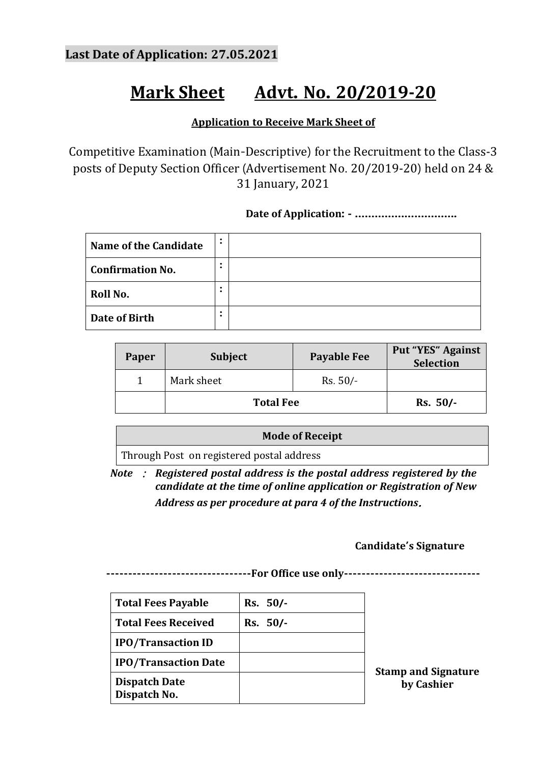## **Mark Sheet Advt. No. 20/2019-20**

#### **Application to Receive Mark Sheet of**

Competitive Examination (Main-Descriptive) for the Recruitment to the Class-3 posts of Deputy Section Officer (Advertisement No. 20/2019-20) held on 24 & 31 January, 2021

#### **Date of Application: - ………………………….**

| Name of the Candidate   | $\bullet$<br>$\bullet$ |  |
|-------------------------|------------------------|--|
| <b>Confirmation No.</b> | $\bullet$<br>$\bullet$ |  |
| Roll No.                | $\bullet$              |  |
| Date of Birth           | ٠                      |  |

| Paper | <b>Subject</b>   | <b>Payable Fee</b> | <b>Put "YES" Against</b><br><b>Selection</b> |
|-------|------------------|--------------------|----------------------------------------------|
|       | Mark sheet       | $Rs. 50/-$         |                                              |
|       | <b>Total Fee</b> | $Rs. 50/-$         |                                              |

**Mode of Receipt**

Through Post on registered postal address

*Note* : *Registered postal address is the postal address registered by the candidate at the time of online application or Registration of New Address as per procedure at para 4 of the Instructions*.

#### **Candidate's Signature**

**---------------------------------For Office use only-------------------------------**

| <b>Total Fees Payable</b>            | Rs. 50/-   |     |
|--------------------------------------|------------|-----|
| <b>Total Fees Received</b>           | $Rs. 50/-$ |     |
| <b>IPO/Transaction ID</b>            |            |     |
| <b>IPO/Transaction Date</b>          |            | Sta |
| <b>Dispatch Date</b><br>Dispatch No. |            |     |

**Stamp and Signature by Cashier**